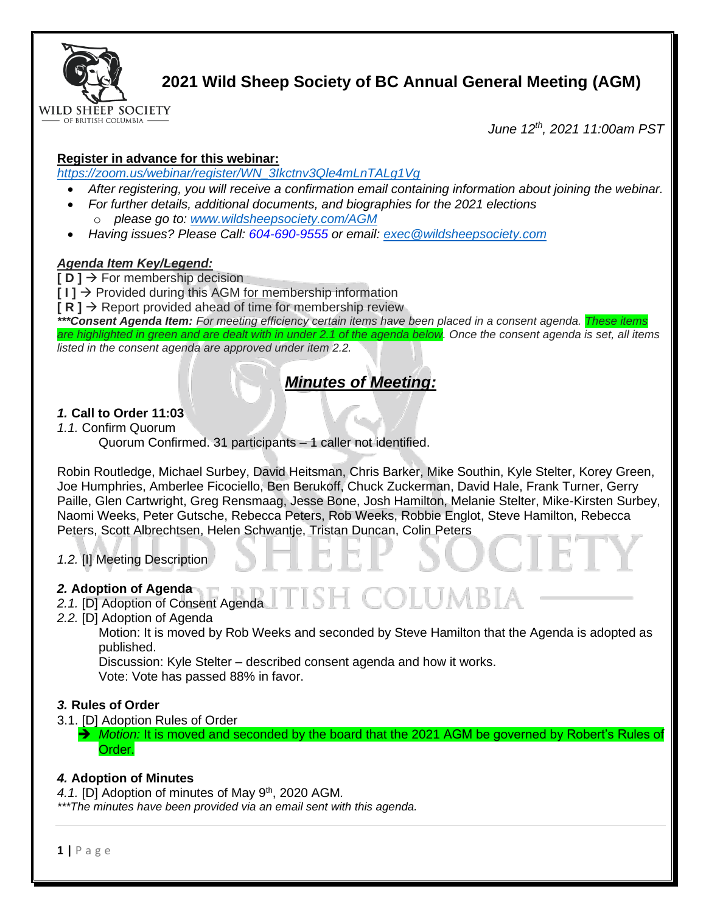

# **2021 Wild Sheep Society of BC Annual General Meeting (AGM)**

*June 12th, 2021 11:00am PST*

# **Register in advance for this webinar:**

*[https://zoom.us/webinar/register/WN\\_3Ikctnv3Qle4mLnTALg1Vg](https://zoom.us/webinar/register/WN_3Ikctnv3Qle4mLnTALg1Vg)*

- *After registering, you will receive a confirmation email containing information about joining the webinar.*
- *For further details, additional documents, and biographies for the 2021 elections*
	- o *please go to: [www.wildsheepsociety.com/AGM](http://www.wildsheepsociety.com/AGM)*
- *Having issues? Please Call: 604-690-9555 or email: [exec@wildsheepsociety.com](mailto:exec@wildsheepsociety.com)*

## *Agenda Item Key/Legend:*

**[ D ]** → For membership decision

**[ I ]** → Provided during this AGM for membership information

 $\mathsf{R} \mathsf{R}$   $\mathsf{R}$   $\mathsf{R}$  about provided ahead of time for membership review

*\*\*\*Consent Agenda Item: For meeting efficiency certain items have been placed in a consent agenda. These items are highlighted in green and are dealt with in under 2.1 of the agenda below. Once the consent agenda is set, all items listed in the consent agenda are approved under item 2.2.* 

# *Minutes of Meeting:*

# *1.* **Call to Order 11:03**

*1.1.* Confirm Quorum

Quorum Confirmed. 31 participants – 1 caller not identified.

Robin Routledge, Michael Surbey, David Heitsman, Chris Barker, Mike Southin, Kyle Stelter, Korey Green, Joe Humphries, Amberlee Ficociello, Ben Berukoff, Chuck Zuckerman, David Hale, Frank Turner, Gerry Paille, Glen Cartwright, Greg Rensmaag, Jesse Bone, Josh Hamilton, Melanie Stelter, Mike-Kirsten Surbey, Naomi Weeks, Peter Gutsche, Rebecca Peters, Rob Weeks, Robbie Englot, Steve Hamilton, Rebecca Peters, Scott Albrechtsen, Helen Schwantje, Tristan Duncan, Colin Peters

*1.2.* [I] Meeting Description

# *2.* **Adoption of Agenda**

- *2.1.* [D] Adoption of Consent Agenda
- *2.2.* [D] Adoption of Agenda

Motion: It is moved by Rob Weeks and seconded by Steve Hamilton that the Agenda is adopted as published.

OLUMBI7

Discussion: Kyle Stelter – described consent agenda and how it works. Vote: Vote has passed 88% in favor.

# *3.* **Rules of Order**

3.1. [D] Adoption Rules of Order

→ *Motion:* It is moved and seconded by the board that the 2021 AGM be governed by Robert's Rules of Order.

## *4.* **Adoption of Minutes**

4.1. [D] Adoption of minutes of May 9<sup>th</sup>, 2020 AGM.

*\*\*\*The minutes have been provided via an email sent with this agenda.*